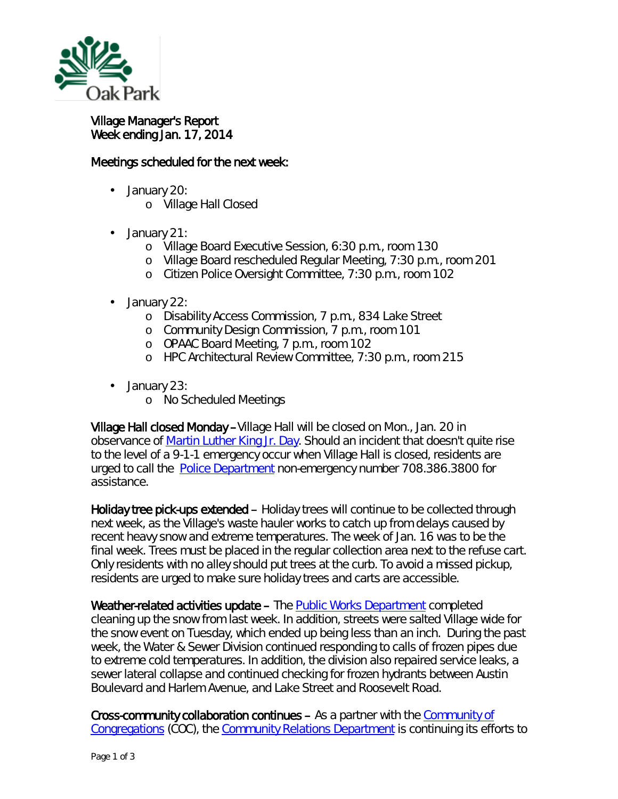

## Village Manager's Report Week ending Jan. 17, 2014

## Meetings scheduled for the next week:

- January 20:
	- o Village Hall Closed
- January 21:  $\overline{a}$ 
	- o Village Board Executive Session, 6:30 p.m., room 130
	- o Village Board rescheduled Regular Meeting, 7:30 p.m., room 201
	- o Citizen Police Oversight Committee, 7:30 p.m., room 102
- ä, January 22:
	- o Disability Access Commission, 7 p.m., 834 Lake Street
	- o Community Design Commission, 7 p.m., room 101
	- o OPAAC Board Meeting, 7 p.m., room 102
	- o HPC Architectural Review Committee, 7:30 p.m., room 215
- January 23:
	- o No Scheduled Meetings

Village Hall closed Monday –Village Hall will be closed on Mon., Jan. 20 in observance of [Martin Luther King Jr. Day.](http://r20.rs6.net/tn.jsp?f=001gtz4OE1t-louwzAXGEwQnHuIhoiIIQLi1ckIXWwUgeKHK6BQba_5lI-leRTRQu0ShGWkJgOqSfl0q1ocpc9aw2z62l_bve_-iN2w9OtiUOwEaJFzg1SquaEloJpdRjwXcsNQyOUEmRdksw90VptqanmPENYArgq8ixCK0sJ8ZMU=&c=xcdCVwThXq2FD936JsQq2_kjVFh6pK-g3MM-XV_dpJ6ztz9w9luHMg==&ch=wac5FxYZ2WhOOj0FNasNUAYJ0EkOksdP07uDkF4s7w8Ye-4fESAMJA==) Should an incident that doesn't quite rise to the level of a 9-1-1 emergency occur when Village Hall is closed, residents are urged to call the [Police Department](http://r20.rs6.net/tn.jsp?f=001gtz4OE1t-louwzAXGEwQnHuIhoiIIQLi1ckIXWwUgeKHK6BQba_5lENB4spUdK4qs3fC8Rrz3dlo4zhFwcnK58sRjCK7nHstmu9lCo7Qv9x4DSaOVF-jCQ0fcd2qxhBXTKk_H14oJ4ro0bZlV9WbjhCyvcMkDdyNEZrfafFBV6rLQyZIiGWFOIjNpwXjMmIHLIytg_94yAuSGiwUi3wBfRVgZpZvC94o&c=xcdCVwThXq2FD936JsQq2_kjVFh6pK-g3MM-XV_dpJ6ztz9w9luHMg==&ch=wac5FxYZ2WhOOj0FNasNUAYJ0EkOksdP07uDkF4s7w8Ye-4fESAMJA==) non-emergency number 708.386.3800 for assistance.

Holiday tree pick-ups extended – Holiday trees will continue to be collected through next week, as the Village's waste hauler works to catch up from delays caused by recent heavy snow and extreme temperatures. The week of Jan. 16 was to be the final week. Trees must be placed in the regular collection area next to the refuse cart. Only residents with no alley should put trees at the curb. To avoid a missed pickup, residents are urged to make sure holiday trees and carts are accessible.

Weather-related activities update – The [Public Works Department](http://www.oak-park.us/village-services/public-works-department) completed cleaning up the snow from last week. In addition, streets were salted Village wide for the snow event on Tuesday, which ended up being less than an inch. During the past week, the Water & Sewer Division continued responding to calls of frozen pipes due to extreme cold temperatures. In addition, the division also repaired service leaks, a sewer lateral collapse and continued checking for frozen hydrants between Austin Boulevard and Harlem Avenue, and Lake Street and Roosevelt Road.

Cross-community collaboration continues – As a partner with the [Community of](http://www.communityofcongregations.org/)  [Congregations](http://www.communityofcongregations.org/) (COC), the [Community Relations Department](http://www.oak-park.us/our-community/community-relations) is continuing its efforts to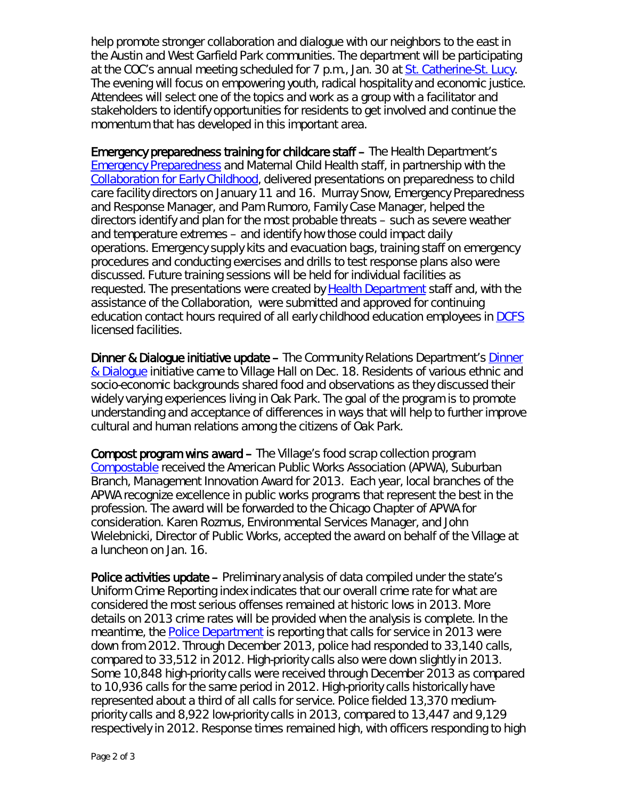help promote stronger collaboration and dialogue with our neighbors to the east in the Austin and West Garfield Park communities. The department will be participating at the COC's annual meeting scheduled for 7 p.m., Jan. 30 at [St. Catherine-St. Lucy.](http://www.scslschool.com/) The evening will focus on empowering youth, radical hospitality and economic justice. Attendees will select one of the topics and work as a group with a facilitator and stakeholders to identify opportunities for residents to get involved and continue the momentum that has developed in this important area.

Emergency preparedness training for childcare staff – The Health Department's [Emergency Preparedness](http://www.oak-park.us/village-services/health-department/emergency-preparedness) and Maternal Child Health staff, in partnership with the [Collaboration for Early Childhood,](http://collab4kids.org/) delivered presentations on preparedness to child care facility directors on January 11 and 16. Murray Snow, Emergency Preparedness and Response Manager, and Pam Rumoro, Family Case Manager, helped the directors identify and plan for the most probable threats – such as severe weather and temperature extremes – and identify how those could impact daily operations. Emergency supply kits and evacuation bags, training staff on emergency procedures and conducting exercises and drills to test response plans also were discussed. Future training sessions will be held for individual facilities as requested. The presentations were created by [Health Department](http://www.oak-park.us/village-services/department-public-health) staff and, with the assistance of the Collaboration, were submitted and approved for continuing education contact hours required of all early childhood education employees in [DCFS](http://www.state.il.us/dcfs/index.shtml) licensed facilities.

Dinner & Dialogue initiative update – The Community Relations Department's [Dinner](http://www.oak-park.us/our-community/community-relations/dinner-dialogue)  [& Dialogue](http://www.oak-park.us/our-community/community-relations/dinner-dialogue) initiative came to Village Hall on Dec. 18. Residents of various ethnic and socio-economic backgrounds shared food and observations as they discussed their widely varying experiences living in Oak Park. The goal of the program is to promote understanding and acceptance of differences in ways that will help to further improve cultural and human relations among the citizens of Oak Park.

Compost program wins award – The Village's food scrap collection program *[Compostable](http://www.oak-park.us/village-services/refuse-recycling/compostable-program)* received the American Public Works Association (APWA), Suburban Branch, Management Innovation Award for 2013. Each year, local branches of the APWA recognize excellence in public works programs that represent the best in the profession. The award will be forwarded to the Chicago Chapter of APWA for consideration. Karen Rozmus, Environmental Services Manager, and John Wielebnicki, Director of Public Works, accepted the award on behalf of the Village at a luncheon on Jan. 16.

Police activities update – Preliminary analysis of data compiled under the state's Uniform Crime Reporting index indicates that our overall crime rate for what are considered the most serious offenses remained at historic lows in 2013. More details on 2013 crime rates will be provided when the analysis is complete. In the meantime, the **Police Department** is reporting that calls for service in 2013 were down from 2012. Through December 2013, police had responded to 33,140 calls, compared to 33,512 in 2012. High-priority calls also were down slightly in 2013. Some 10,848 high-priority calls were received through December 2013 as compared to 10,936 calls for the same period in 2012. High-priority calls historically have represented about a third of all calls for service. Police fielded 13,370 mediumpriority calls and 8,922 low-priority calls in 2013, compared to 13,447 and 9,129 respectively in 2012. Response times remained high, with officers responding to high